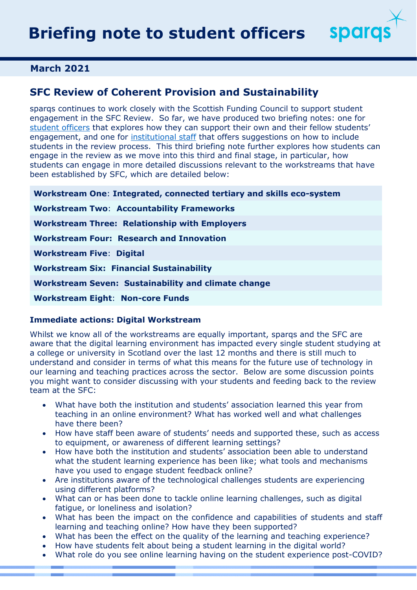

## **March 2021**

# **SFC Review of Coherent Provision and Sustainability**

sparqs continues to work closely with the Scottish Funding Council to support student engagement in the SFC Review. So far, we have produced two briefing notes: one for [student officers](https://www.sparqs.ac.uk/ch/SFC%20Review%20briefing%20note%20to%20student%20officers.pdf) that explores how they can support their own and their fellow students' engagement, and one for [institutional staff](https://www.sparqs.ac.uk/ch/SFC%20Review%20briefing%20note%20for%20staff.pdf) that offers suggestions on how to include students in the review process. This third briefing note further explores how students can engage in the review as we move into this third and final stage, in particular, how students can engage in more detailed discussions relevant to the workstreams that have been established by SFC, which are detailed below:

**Workstream One**: **Integrated, connected tertiary and skills eco-system Workstream Two**: **Accountability Frameworks Workstream Three: Relationship with Employers Workstream Four: Research and Innovation Workstream Five**: **Digital Workstream Six: Financial Sustainability Workstream Seven: Sustainability and climate change Workstream Eight**: **Non-core Funds** 

### **Immediate actions: Digital Workstream**

Whilst we know all of the workstreams are equally important, sparqs and the SFC are aware that the digital learning environment has impacted every single student studying at a college or university in Scotland over the last 12 months and there is still much to understand and consider in terms of what this means for the future use of technology in our learning and teaching practices across the sector. Below are some discussion points you might want to consider discussing with your students and feeding back to the review team at the SFC:

- What have both the institution and students' association learned this year from teaching in an online environment? What has worked well and what challenges have there been?
- How have staff been aware of students' needs and supported these, such as access to equipment, or awareness of different learning settings?
- How have both the institution and students' association been able to understand what the student learning experience has been like; what tools and mechanisms have you used to engage student feedback online?
- Are institutions aware of the technological challenges students are experiencing using different platforms?
- What can or has been done to tackle online learning challenges, such as digital fatigue, or loneliness and isolation?
- What has been the impact on the confidence and capabilities of students and staff learning and teaching online? How have they been supported?
- What has been the effect on the quality of the learning and teaching experience?
- How have students felt about being a student learning in the digital world?
- What role do you see online learning having on the student experience post-COVID?